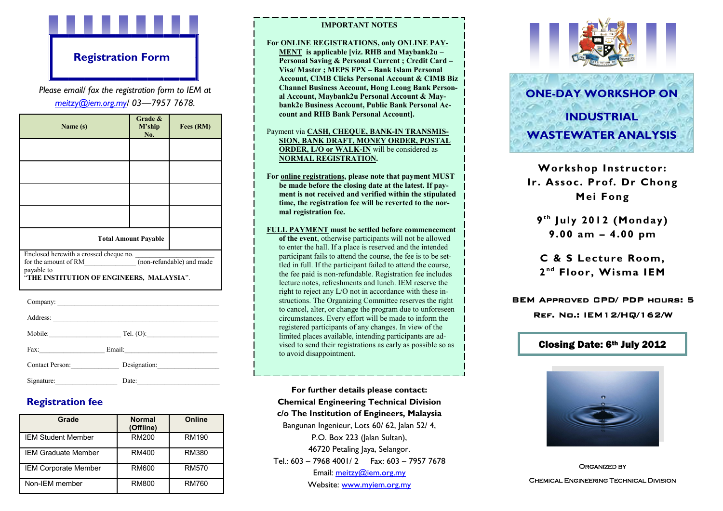

## **Registration Form**

# *Please email/ fax the registration form to IEM at [meitzy@iem.org.my/](mailto:meitzy@iem.org.my) 03—7957 7678.*

| Name (s)                                                                                                                                            | Grade &<br>M'ship<br>No. | Fees (RM) |
|-----------------------------------------------------------------------------------------------------------------------------------------------------|--------------------------|-----------|
|                                                                                                                                                     |                          |           |
|                                                                                                                                                     |                          |           |
|                                                                                                                                                     |                          |           |
|                                                                                                                                                     |                          |           |
| <b>Total Amount Payable</b>                                                                                                                         |                          |           |
| Enclosed herewith a crossed cheque no.<br>for the amount of RM (non-refundable) and made<br>payable to<br>"THE INSTITUTION OF ENGINEERS, MALAYSIA". |                          |           |

| Mobile:              | Tel. $(0)$ : |
|----------------------|--------------|
| Fax: $\qquad \qquad$ |              |
| Contact Person:      | Designation: |
| Signature:           | Date:        |

# **Registration fee**

| Grade                       | <b>Normal</b><br>(Offline) | Online       |
|-----------------------------|----------------------------|--------------|
| <b>IEM Student Member</b>   | RM200                      | RM190        |
| <b>IEM Graduate Member</b>  | RM400                      | RM380        |
| <b>IEM Corporate Member</b> | RM600                      | <b>RM570</b> |
| Non-IEM member              | RM800                      | RM760        |

#### **IMPORTANT NOTES**

**For ONLINE REGISTRATIONS, only ONLINE PAY-MENT is applicable [viz. RHB and Maybank2u – Personal Saving & Personal Current ; Credit Card – Visa/ Master ; MEPS FPX – Bank Islam Personal Account, CIMB Clicks Personal Account & CIMB Biz Channel Business Account, Hong Leong Bank Personal Account, Maybank2u Personal Account & Maybank2e Business Account, Public Bank Personal Account and RHB Bank Personal Account].**

#### Payment via **CASH, CHEQUE, BANK-IN TRANSMIS-SION, BANK DRAFT, MONEY ORDER, POSTAL ORDER, L/O or WALK-IN** will be considered as **NORMAL REGISTRATION.**

**For online registrations, please note that payment MUST be made before the closing date at the latest. If payment is not received and verified within the stipulated time, the registration fee will be reverted to the normal registration fee.**

#### **FULL PAYMENT must be settled before commencement**

**of the event**, otherwise participants will not be allowed to enter the hall. If a place is reserved and the intended participant fails to attend the course, the fee is to be settled in full. If the participant failed to attend the course, the fee paid is non-refundable. Registration fee includes lecture notes, refreshments and lunch. IEM reserve the right to reject any L/O not in accordance with these instructions. The Organizing Committee reserves the right to cancel, alter, or change the program due to unforeseen circumstances. Every effort will be made to inform the registered participants of any changes. In view of the limited places available, intending participants are advised to send their registrations as early as possible so as to avoid disappointment.

**For further details please contact: Chemical Engineering Technical Division c/o The Institution of Engineers, Malaysia** Bangunan Ingenieur, Lots 60/ 62, Jalan 52/ 4, P.O. Box 223 (Jalan Sultan), 46720 Petaling Jaya, Selangor. Tel.: 603 – 7968 4001/ 2 Fax: 603 – 7957 7678 Email: [meitzy@iem.org.my](mailto:meitzy@iem.org.my)  Website: [www.myiem.org.my](http://www.myiem.org.my)





**Workshop Instructor: Ir. Assoc. Prof. Dr Chong Mei Fong**

**9 th July 2012 (Monday) 9.00 am – 4.00 pm**

**C & S Lecture Room, 2 nd Floor, Wisma IEM**

BEM Approved CPD/ PDP hours: 5 Ref. No.: IEM12/HQ/162/W

## Closing Date: 6th July 2012



ORGANIZED BY Chemical Engineering Technical Division